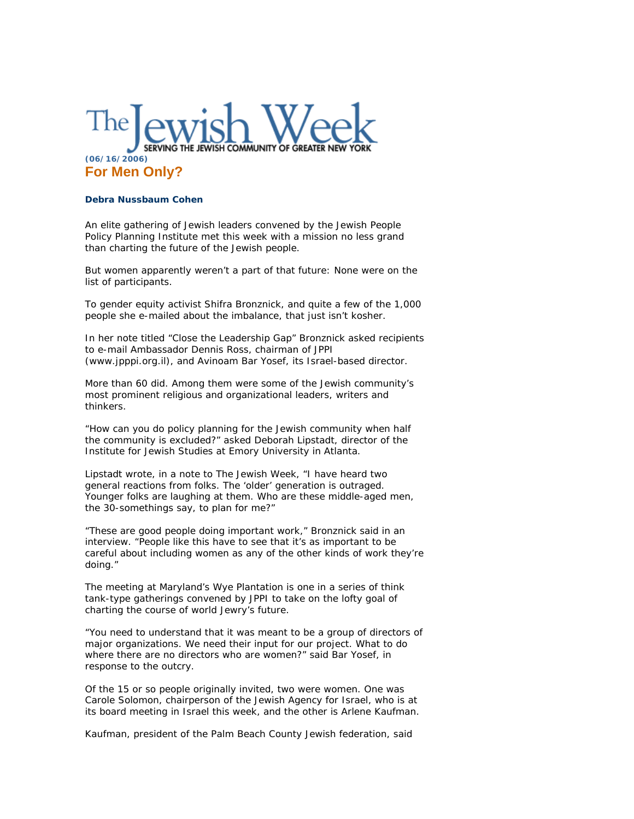

## **Debra Nussbaum Cohen**

An elite gathering of Jewish leaders convened by the Jewish People Policy Planning Institute met this week with a mission no less grand than charting the future of the Jewish people.

But women apparently weren't a part of that future: None were on the list of participants.

To gender equity activist Shifra Bronznick, and quite a few of the 1,000 people she e-mailed about the imbalance, that just isn't kosher.

In her note titled "Close the Leadership Gap" Bronznick asked recipients to e-mail Ambassador Dennis Ross, chairman of JPPI (www.jpppi.org.il), and Avinoam Bar Yosef, its Israel-based director.

More than 60 did. Among them were some of the Jewish community's most prominent religious and organizational leaders, writers and thinkers.

"How can you do policy planning for the Jewish community when half the community is excluded?" asked Deborah Lipstadt, director of the Institute for Jewish Studies at Emory University in Atlanta.

Lipstadt wrote, in a note to The Jewish Week, "I have heard two general reactions from folks. The 'older' generation is outraged. Younger folks are laughing at them. Who are these middle-aged men, the 30-somethings say, to plan for me?"

"These are good people doing important work," Bronznick said in an interview. "People like this have to see that it's as important to be careful about including women as any of the other kinds of work they're doing."

The meeting at Maryland's Wye Plantation is one in a series of think tank-type gatherings convened by JPPI to take on the lofty goal of charting the course of world Jewry's future.

"You need to understand that it was meant to be a group of directors of major organizations. We need their input for our project. What to do where there are no directors who are women?" said Bar Yosef, in response to the outcry.

Of the 15 or so people originally invited, two were women. One was Carole Solomon, chairperson of the Jewish Agency for Israel, who is at its board meeting in Israel this week, and the other is Arlene Kaufman.

Kaufman, president of the Palm Beach County Jewish federation, said